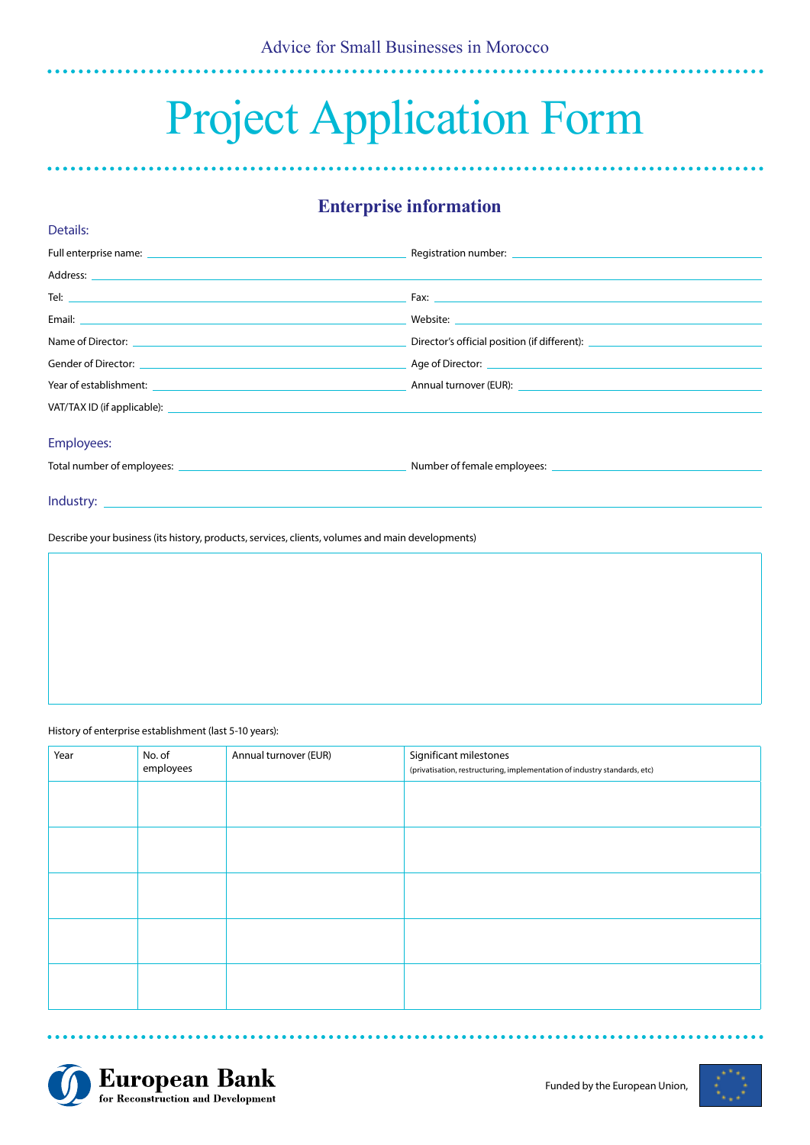# Project Application Form

# **Enterprise information**

|                                                                                                                                                                                                                                | Registration number: example and a series of the series of the series of the series of the series of the series of the series of the series of the series of the series of the series of the series of the series of the serie |
|--------------------------------------------------------------------------------------------------------------------------------------------------------------------------------------------------------------------------------|--------------------------------------------------------------------------------------------------------------------------------------------------------------------------------------------------------------------------------|
|                                                                                                                                                                                                                                |                                                                                                                                                                                                                                |
|                                                                                                                                                                                                                                |                                                                                                                                                                                                                                |
|                                                                                                                                                                                                                                |                                                                                                                                                                                                                                |
|                                                                                                                                                                                                                                | Director's official position (if different): \\espaces\\efficial position (if different): \\espaces\\efficial n                                                                                                                |
|                                                                                                                                                                                                                                |                                                                                                                                                                                                                                |
| Year of establishment: National Communication of the Communication of the Communication of the Communication of the Communication of the Communication of the Communication of the Communication of the Communication of the C |                                                                                                                                                                                                                                |
|                                                                                                                                                                                                                                |                                                                                                                                                                                                                                |
| <b>Employees:</b>                                                                                                                                                                                                              |                                                                                                                                                                                                                                |
|                                                                                                                                                                                                                                |                                                                                                                                                                                                                                |
|                                                                                                                                                                                                                                |                                                                                                                                                                                                                                |

Describe your business (its history, products, services, clients, volumes and main developments)

History of enterprise establishment (last 5-10 years):

Details:

| Year | No. of<br>employees | Annual turnover (EUR) | Significant milestones<br>(privatisation, restructuring, implementation of industry standards, etc) |
|------|---------------------|-----------------------|-----------------------------------------------------------------------------------------------------|
|      |                     |                       |                                                                                                     |
|      |                     |                       |                                                                                                     |
|      |                     |                       |                                                                                                     |
|      |                     |                       |                                                                                                     |
|      |                     |                       |                                                                                                     |



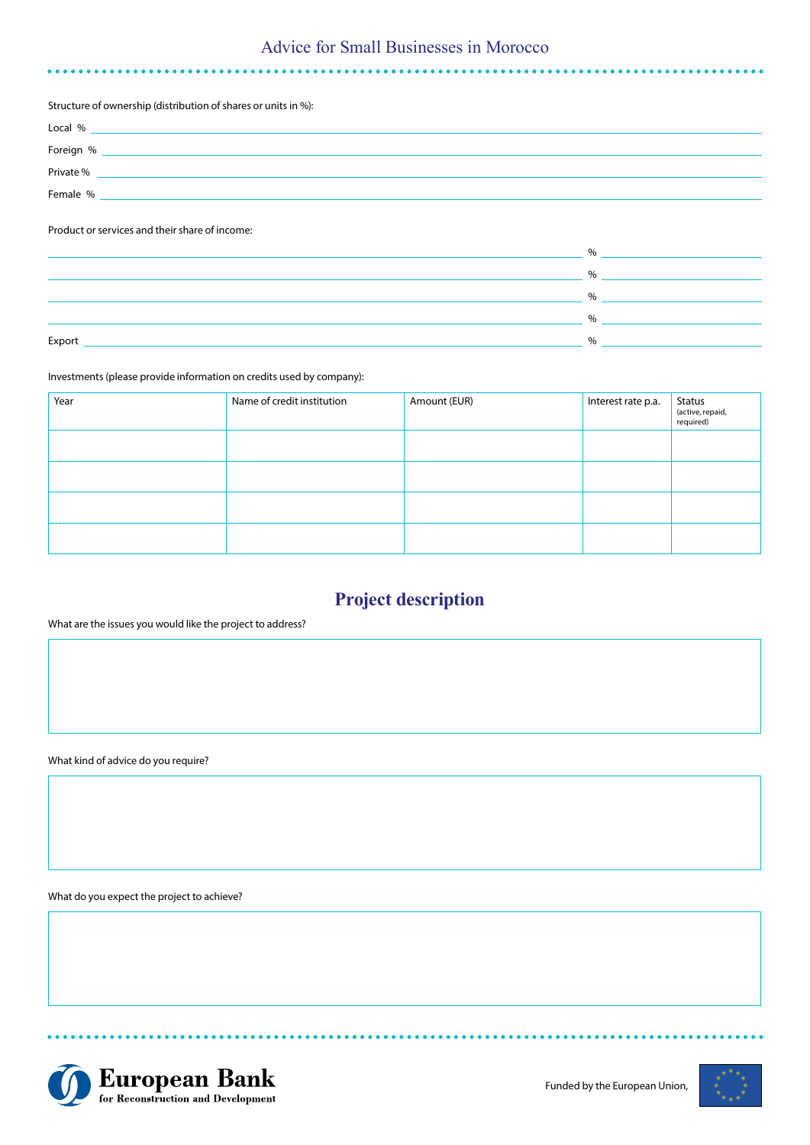# Advice for Small Businesses in Morocco

#### Structure of ownership (distribution of shares or units in %):

| Local %   |  |
|-----------|--|
| Foreign % |  |
| Private % |  |
| Female %  |  |

## Product or services and their share of income:

|        | Ψc        |
|--------|-----------|
|        | 0/2       |
|        | 0/        |
|        | 0/<br>7 U |
| Export |           |

## Investments (please provide information on credits used by company):

| Year | Name of credit institution | Amount (EUR) | Interest rate p.a. | Status<br>(active, repaid,<br>required) |
|------|----------------------------|--------------|--------------------|-----------------------------------------|
|      |                            |              |                    |                                         |
|      |                            |              |                    |                                         |
|      |                            |              |                    |                                         |
|      |                            |              |                    |                                         |

# **Project description**

## What are the issues you would like the project to address?

What kind of advice do you require?

What do you expect the project to achieve?



. . . . . . . . . . .